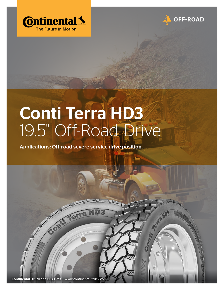



Contribution HD3

## Conti Terra HD3 19.5" Off-Road Drive

Applications: Off-road severe service drive position.

Continental Truck and Bus Tires | www.continental-truck.com